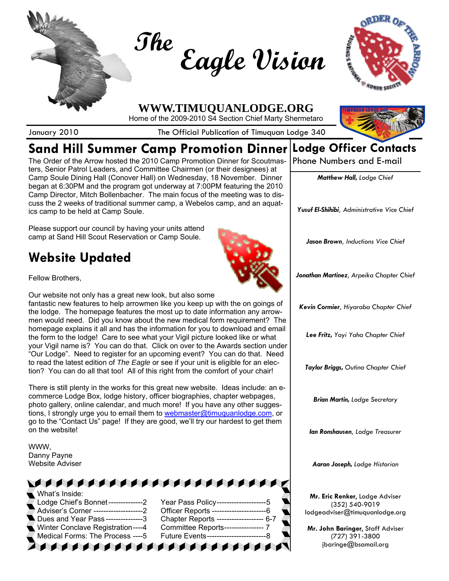



# **Sand Hill Summer Camp Promotion Dinner**

January 2010 **The Official Publication of Timuquan Lodge 340** 

The Order of the Arrow hosted the 2010 Camp Promotion Dinner for Scoutmasters, Senior Patrol Leaders, and Committee Chairmen (or their designees) at Camp Soule Dining Hall (Conover Hall) on Wednesday, 18 November. Dinner began at 6:30PM and the program got underway at 7:00PM featuring the 2010 Camp Director, Mitch Bollenbacher. The main focus of the meeting was to discuss the 2 weeks of traditional summer camp, a Webelos camp, and an aquatics camp to be held at Camp Soule.

Please support our council by having your units attend camp at Sand Hill Scout Reservation or Camp Soule.

# **Website Updated**

Fellow Brothers,

Our website not only has a great new look, but also some fantastic new features to help arrowmen like you keep up with the on goings of the lodge. The homepage features the most up to date information any arrowmen would need. Did you know about the new medical form requirement? The homepage explains it all and has the information for you to download and email the form to the lodge! Care to see what your Vigil picture looked like or what your Vigil name is? You can do that. Click on over to the Awards section under "Our Lodge". Need to register for an upcoming event? You can do that. Need to read the latest edition of *The Eagle* or see if your unit is eligible for an election? You can do all that too! All of this right from the comfort of your chair!

There is still plenty in the works for this great new website. Ideas include: an ecommerce Lodge Box, lodge history, officer biographies, chapter webpages, photo gallery, online calendar, and much more! If you have any other suggestions, I strongly urge you to email them to webmaster@timuquanlodge.com, or go to the "Contact Us" page! If they are good, we'll try our hardest to get them on the website!

WWW, Danny Payne Website Adviser

| What's Inside:                                                                                                                                                                                                                 |                                             |
|--------------------------------------------------------------------------------------------------------------------------------------------------------------------------------------------------------------------------------|---------------------------------------------|
|                                                                                                                                                                                                                                |                                             |
| Adviser's Corner ---------------------2                                                                                                                                                                                        | Officer Reports ---------------------<br>-6 |
| , Dues and Year Pass ---------------3                                                                                                                                                                                          | Chapter Reports ------------------- 6-7     |
| Winter Conclave Registration ----4 Committee Reports----------------- 7                                                                                                                                                        |                                             |
| Medical Forms: The Process ----5                                                                                                                                                                                               |                                             |
| The formation of the formation of the formation of the formation of the formation of the formation of the state of the state of the state of the state of the state of the state of the state of the state of the state of the |                                             |



**Lodge Officer Contacts** 

Phone Numbers and E-mail

*Matthew Hall, Lodge Chief*

*Yusuf El-Shihibi, Administrative Vice Chief*

*Jason Brown, Inductions Vice Chief* 

*Jonathan Martinez*, *Arpeika Chapter Chief*

*Kevin Cormier, Hiyaraba Chapter Chief*

*Lee Fritz, Yayi Yaha Chapter Chief*

*Taylor Briggs, Outina Chapter Chief* 

*Brian Martin, Lodge Secretary*

*Ian Ronshausen, Lodge Treasurer*

*Aaron Joseph, Lodge Historian*

**Mr. Eric Renker**, Lodge Adviser (352) 540-9019 lodgeadviser@timuquanlodge.org

**Mr. John Baringer**, Staff Adviser (727) 391-3800 jbaringe@bsamail.org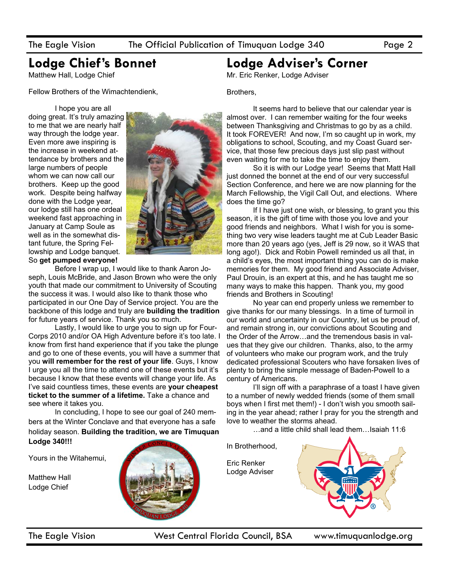## **Lodge Chief's Bonnet**

Matthew Hall, Lodge Chief

Fellow Brothers of the Wimachtendienk,

 I hope you are all doing great. It's truly amazing to me that we are nearly half way through the lodge year. Even more awe inspiring is the increase in weekend attendance by brothers and the large numbers of people whom we can now call our brothers. Keep up the good work. Despite being halfway done with the Lodge year, our lodge still has one ordeal weekend fast approaching in January at Camp Soule as well as in the somewhat distant future, the Spring Fellowship and Lodge banquet. So **get pumped everyone!**



 Before I wrap up, I would like to thank Aaron Joseph, Louis McBride, and Jason Brown who were the only youth that made our commitment to University of Scouting the success it was. I would also like to thank those who participated in our One Day of Service project. You are the backbone of this lodge and truly are **building the tradition**  for future years of service. Thank you so much.

 Lastly, I would like to urge you to sign up for Four-Corps 2010 and/or OA High Adventure before it's too late. I know from first hand experience that if you take the plunge and go to one of these events, you will have a summer that you **will remember for the rest of your life**. Guys, I know I urge you all the time to attend one of these events but it's because I know that these events will change your life. As I've said countless times, these events are **your cheapest ticket to the summer of a lifetime.** Take a chance and see where it takes you.

 In concluding, I hope to see our goal of 240 members at the Winter Conclave and that everyone has a safe holiday season. **Building the tradition, we are Timuquan Lodge 340!!!**

Yours in the Witahemui,

Matthew Hall Lodge Chief



## **Lodge Adviser's Corner**

Mr. Eric Renker, Lodge Adviser

Brothers,

 It seems hard to believe that our calendar year is almost over. I can remember waiting for the four weeks between Thanksgiving and Christmas to go by as a child. It took FOREVER! And now, I'm so caught up in work, my obligations to school, Scouting, and my Coast Guard service, that those few precious days just slip past without even waiting for me to take the time to enjoy them.

 So it is with our Lodge year! Seems that Matt Hall just donned the bonnet at the end of our very successful Section Conference, and here we are now planning for the March Fellowship, the Vigil Call Out, and elections. Where does the time go?

 If I have just one wish, or blessing, to grant you this season, it is the gift of time with those you love and your good friends and neighbors. What I wish for you is something two very wise leaders taught me at Cub Leader Basic more than 20 years ago (yes, Jeff is 29 now, so it WAS that long ago!). Dick and Robin Powell reminded us all that, in a child's eyes, the most important thing you can do is make memories for them. My good friend and Associate Adviser, Paul Drouin, is an expert at this, and he has taught me so many ways to make this happen. Thank you, my good friends and Brothers in Scouting!

 No year can end properly unless we remember to give thanks for our many blessings. In a time of turmoil in our world and uncertainty in our Country, let us be proud of, and remain strong in, our convictions about Scouting and the Order of the Arrow…and the tremendous basis in values that they give our children. Thanks, also, to the army of volunteers who make our program work, and the truly dedicated professional Scouters who have forsaken lives of plenty to bring the simple message of Baden-Powell to a century of Americans.

 I'll sign off with a paraphrase of a toast I have given to a number of newly wedded friends (some of them small boys when I first met them!) - I don't wish you smooth sailing in the year ahead; rather I pray for you the strength and love to weather the storms ahead.

…and a little child shall lead them…Isaiah 11:6

In Brotherhood, Eric Renker Lodge Adviser

The Eagle Vision West Central Florida Council, BSA www.timuquanlodge.org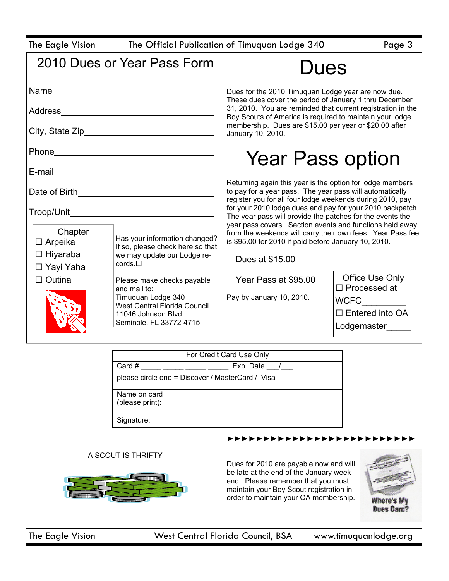|  |  |  | The Eagle Vision |  |
|--|--|--|------------------|--|
|--|--|--|------------------|--|

The Official Publication of Timuquan Lodge 340 Page 3

| 2010 Dues or Year Pass Form |
|-----------------------------|
|-----------------------------|

Dues

| Address                        |                                                                   | Dues for the 2010 Timuquan Lodge year are now due.<br>These dues cover the period of January 1 thru December<br>31, 2010. You are reminded that current registration in the<br>Boy Scouts of America is required to maintain your lodge                                                                                                                                                                                                                                                        |                                           |                                                                             |
|--------------------------------|-------------------------------------------------------------------|------------------------------------------------------------------------------------------------------------------------------------------------------------------------------------------------------------------------------------------------------------------------------------------------------------------------------------------------------------------------------------------------------------------------------------------------------------------------------------------------|-------------------------------------------|-----------------------------------------------------------------------------|
|                                |                                                                   |                                                                                                                                                                                                                                                                                                                                                                                                                                                                                                |                                           | membership. Dues are \$15.00 per year or \$20.00 after<br>January 10, 2010. |
|                                |                                                                   | Phone____                                                                                                                                                                                                                                                                                                                                                                                                                                                                                      |                                           | <b>Year Pass option</b>                                                     |
| E-mail                         |                                                                   |                                                                                                                                                                                                                                                                                                                                                                                                                                                                                                |                                           |                                                                             |
| Date of Birth                  |                                                                   | Returning again this year is the option for lodge members<br>to pay for a year pass. The year pass will automatically<br>register you for all four lodge weekends during 2010, pay<br>for your 2010 lodge dues and pay for your 2010 backpatch.<br>The year pass will provide the patches for the events the<br>year pass covers. Section events and functions held away<br>from the weekends will carry their own fees. Year Pass fee<br>is \$95.00 for 2010 if paid before January 10, 2010. |                                           |                                                                             |
|                                |                                                                   |                                                                                                                                                                                                                                                                                                                                                                                                                                                                                                |                                           |                                                                             |
| Chapter<br>$\Box$ Arpeika      | Has your information changed?<br>If so, please check here so that |                                                                                                                                                                                                                                                                                                                                                                                                                                                                                                |                                           |                                                                             |
| $\Box$ Hiyaraba<br>□ Yayi Yaha | we may update our Lodge re-<br>$\text{cords}.\Box$                | Dues at \$15.00                                                                                                                                                                                                                                                                                                                                                                                                                                                                                |                                           |                                                                             |
| $\Box$ Outina                  | Please make checks payable<br>and mail to:                        | Year Pass at \$95.00                                                                                                                                                                                                                                                                                                                                                                                                                                                                           | Office Use Only<br>$\square$ Processed at |                                                                             |
|                                | Timuquan Lodge 340<br><b>West Central Florida Council</b>         | Pay by January 10, 2010.                                                                                                                                                                                                                                                                                                                                                                                                                                                                       | <b>WCFC</b>                               |                                                                             |
|                                | 11046 Johnson Blvd                                                |                                                                                                                                                                                                                                                                                                                                                                                                                                                                                                | $\Box$ Entered into OA                    |                                                                             |
|                                | Seminole, FL 33772-4715                                           |                                                                                                                                                                                                                                                                                                                                                                                                                                                                                                | Lodgemaster                               |                                                                             |

|                                                  | For Credit Card Use Only |
|--------------------------------------------------|--------------------------|
| Card #                                           | Exp. Date /              |
| please circle one = Discover / MasterCard / Visa |                          |
| Name on card                                     |                          |
| (please print):                                  |                          |
| Signature:                                       |                          |

#### ►►►►►►►►►►►►►►►►►►►►►►►►►►

#### A SCOUT IS THRIFTY



Dues for 2010 are payable now and will be late at the end of the January weekend. Please remember that you must maintain your Boy Scout registration in order to maintain your OA membership.

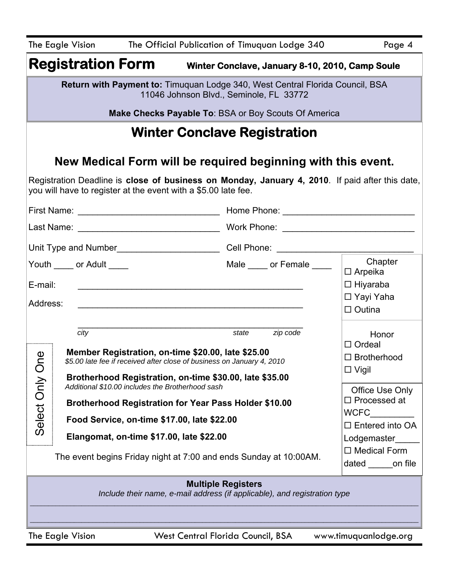|                                                                                                                                                                                                                                           | The Official Publication of Timuquan Lodge 340<br>The Eagle Vision<br>Page 4     |                                          |                                                                          |                                                     |
|-------------------------------------------------------------------------------------------------------------------------------------------------------------------------------------------------------------------------------------------|----------------------------------------------------------------------------------|------------------------------------------|--------------------------------------------------------------------------|-----------------------------------------------------|
|                                                                                                                                                                                                                                           |                                                                                  |                                          | <b>Registration Form</b> Winter Conclave, January 8-10, 2010, Camp Soule |                                                     |
| Return with Payment to: Timuquan Lodge 340, West Central Florida Council, BSA<br>11046 Johnson Blvd., Seminole, FL 33772                                                                                                                  |                                                                                  |                                          |                                                                          |                                                     |
|                                                                                                                                                                                                                                           |                                                                                  |                                          | <b>Make Checks Payable To: BSA or Boy Scouts Of America</b>              |                                                     |
|                                                                                                                                                                                                                                           |                                                                                  |                                          | <b>Winter Conclave Registration</b>                                      |                                                     |
|                                                                                                                                                                                                                                           |                                                                                  |                                          | New Medical Form will be required beginning with this event.             |                                                     |
| Registration Deadline is close of business on Monday, January 4, 2010. If paid after this date,<br>you will have to register at the event with a \$5.00 late fee.                                                                         |                                                                                  |                                          |                                                                          |                                                     |
|                                                                                                                                                                                                                                           |                                                                                  |                                          | Home Phone: <u>_________________________________</u>                     |                                                     |
|                                                                                                                                                                                                                                           |                                                                                  |                                          |                                                                          |                                                     |
|                                                                                                                                                                                                                                           | Unit Type and Number_____________________________Cell Phone: ___________________ |                                          |                                                                          |                                                     |
| E-mail:                                                                                                                                                                                                                                   | Youth _____ or Adult ____                                                        |                                          | Male _____ or Female _____                                               | Chapter<br>$\Box$ Arpeika<br>$\Box$ Hiyaraba        |
| Address:                                                                                                                                                                                                                                  |                                                                                  |                                          |                                                                          | □ Yayi Yaha<br>$\Box$ Outina                        |
| zip code<br>city<br>state<br>Honor<br>$\Box$ Ordeal<br>Member Registration, on-time \$20.00, late \$25.00<br><b>De</b><br>$\Box$ Brotherhood<br>\$5.00 late fee if received after close of business on January 4, 2010<br>$\square$ Vigil |                                                                                  |                                          |                                                                          |                                                     |
| Brotherhood Registration, on-time \$30.00, late \$35.00<br>Additional \$10.00 includes the Brotherhood sash<br>Office Use Only                                                                                                            |                                                                                  |                                          |                                                                          |                                                     |
| Select Only C<br>$\Box$ Processed at<br><b>Brotherhood Registration for Year Pass Holder \$10.00</b><br><b>WCFC</b>                                                                                                                       |                                                                                  |                                          |                                                                          |                                                     |
| Food Service, on-time \$17.00, late \$22.00                                                                                                                                                                                               |                                                                                  | $\Box$ Entered into OA                   |                                                                          |                                                     |
|                                                                                                                                                                                                                                           |                                                                                  | Elangomat, on-time \$17.00, late \$22.00 | The event begins Friday night at 7:00 and ends Sunday at 10:00AM.        | Lodgemaster<br>$\Box$ Medical Form<br>dated on file |
| <b>Multiple Registers</b><br>Include their name, e-mail address (if applicable), and registration type                                                                                                                                    |                                                                                  |                                          |                                                                          |                                                     |
| West Central Florida Council, BSA<br>The Eagle Vision<br>www.timuquanlodge.org                                                                                                                                                            |                                                                                  |                                          |                                                                          |                                                     |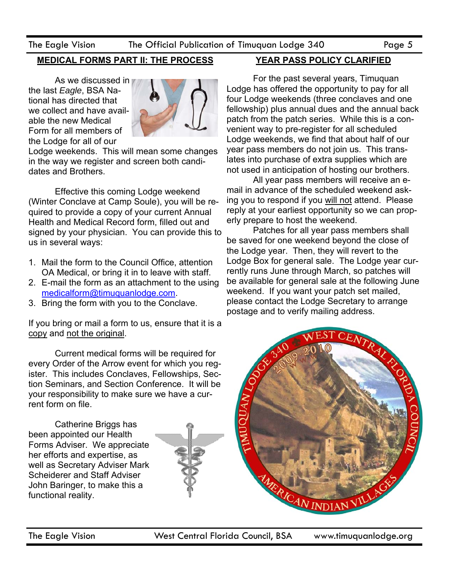The Eagle Vision The Official Publication of Timuquan Lodge 340 Page 5

### **MEDICAL FORMS PART II: THE PROCESS**

 As we discussed in the last *Eagle*, BSA National has directed that we collect and have available the new Medical Form for all members of the Lodge for all of our



Lodge weekends. This will mean some changes in the way we register and screen both candidates and Brothers.

 Effective this coming Lodge weekend (Winter Conclave at Camp Soule), you will be required to provide a copy of your current Annual Health and Medical Record form, filled out and signed by your physician. You can provide this to us in several ways:

- 1. Mail the form to the Council Office, attention OA Medical, or bring it in to leave with staff.
- 2. E-mail the form as an attachment to the using medicalform@timuquanlodge.com.
- 3. Bring the form with you to the Conclave.

If you bring or mail a form to us, ensure that it is a copy and not the original.

 Current medical forms will be required for every Order of the Arrow event for which you register. This includes Conclaves, Fellowships, Section Seminars, and Section Conference. It will be your responsibility to make sure we have a current form on file.

 Catherine Briggs has been appointed our Health Forms Adviser. We appreciate her efforts and expertise, as well as Secretary Adviser Mark Scheiderer and Staff Adviser John Baringer, to make this a functional reality.



### **YEAR PASS POLICY CLARIFIED**

 For the past several years, Timuquan Lodge has offered the opportunity to pay for all four Lodge weekends (three conclaves and one fellowship) plus annual dues and the annual back patch from the patch series. While this is a convenient way to pre-register for all scheduled Lodge weekends, we find that about half of our year pass members do not join us. This translates into purchase of extra supplies which are not used in anticipation of hosting our brothers.

 All year pass members will receive an email in advance of the scheduled weekend asking you to respond if you will not attend. Please reply at your earliest opportunity so we can properly prepare to host the weekend.

 Patches for all year pass members shall be saved for one weekend beyond the close of the Lodge year. Then, they will revert to the Lodge Box for general sale. The Lodge year currently runs June through March, so patches will be available for general sale at the following June weekend. If you want your patch set mailed, please contact the Lodge Secretary to arrange postage and to verify mailing address.

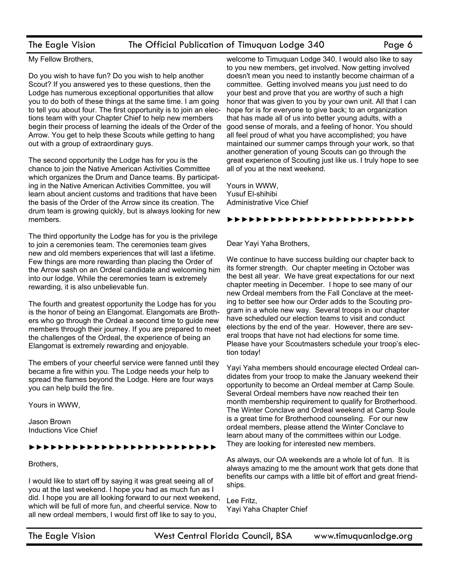#### The Eagle Vision The Official Publication of Timuquan Lodge 340 Page 6

My Fellow Brothers,

Do you wish to have fun? Do you wish to help another Scout? If you answered yes to these questions, then the Lodge has numerous exceptional opportunities that allow you to do both of these things at the same time. I am going to tell you about four. The first opportunity is to join an elections team with your Chapter Chief to help new members begin their process of learning the ideals of the Order of the Arrow. You get to help these Scouts while getting to hang out with a group of extraordinary guys.

The second opportunity the Lodge has for you is the chance to join the Native American Activities Committee which organizes the Drum and Dance teams. By participating in the Native American Activities Committee, you will learn about ancient customs and traditions that have been the basis of the Order of the Arrow since its creation. The drum team is growing quickly, but is always looking for new members.

The third opportunity the Lodge has for you is the privilege to join a ceremonies team. The ceremonies team gives new and old members experiences that will last a lifetime. Few things are more rewarding than placing the Order of the Arrow sash on an Ordeal candidate and welcoming him into our lodge. While the ceremonies team is extremely rewarding, it is also unbelievable fun.

The fourth and greatest opportunity the Lodge has for you is the honor of being an Elangomat. Elangomats are Brothers who go through the Ordeal a second time to guide new members through their journey. If you are prepared to meet the challenges of the Ordeal, the experience of being an Elangomat is extremely rewarding and enjoyable.

The embers of your cheerful service were fanned until they became a fire within you. The Lodge needs your help to spread the flames beyond the Lodge. Here are four ways you can help build the fire.

Yours in WWW,

Jason Brown Inductions Vice Chief

#### ►►►►►►►►►►►►►►►►►►►►►►►►►►

Brothers,

I would like to start off by saying it was great seeing all of you at the last weekend. I hope you had as much fun as I did. I hope you are all looking forward to our next weekend, which will be full of more fun, and cheerful service. Now to all new ordeal members, I would first off like to say to you,

welcome to Timuquan Lodge 340. I would also like to say to you new members, get involved. Now getting involved doesn't mean you need to instantly become chairman of a committee. Getting involved means you just need to do your best and prove that you are worthy of such a high honor that was given to you by your own unit. All that I can hope for is for everyone to give back; to an organization that has made all of us into better young adults, with a good sense of morals, and a feeling of honor. You should all feel proud of what you have accomplished; you have maintained our summer camps through your work, so that another generation of young Scouts can go through the great experience of Scouting just like us. I truly hope to see all of you at the next weekend.

Yours in WWW, Yusuf El-shihibi Administrative Vice Chief

#### ►►►►►►►►►►►►►►►►►►►►►►►►►►

Dear Yayi Yaha Brothers,

We continue to have success building our chapter back to its former strength. Our chapter meeting in October was the best all year. We have great expectations for our next chapter meeting in December. I hope to see many of our new Ordeal members from the Fall Conclave at the meeting to better see how our Order adds to the Scouting program in a whole new way. Several troops in our chapter have scheduled our election teams to visit and conduct elections by the end of the year. However, there are several troops that have not had elections for some time. Please have your Scoutmasters schedule your troop's election today!

Yayi Yaha members should encourage elected Ordeal candidates from your troop to make the January weekend their opportunity to become an Ordeal member at Camp Soule. Several Ordeal members have now reached their ten month membership requirement to qualify for Brotherhood. The Winter Conclave and Ordeal weekend at Camp Soule is a great time for Brotherhood counseling. For our new ordeal members, please attend the Winter Conclave to learn about many of the committees within our Lodge. They are looking for interested new members.

As always, our OA weekends are a whole lot of fun. It is always amazing to me the amount work that gets done that benefits our camps with a little bit of effort and great friendships.

Lee Fritz, Yayi Yaha Chapter Chief

The Eagle Vision West Central Florida Council, BSA www.timuquanlodge.org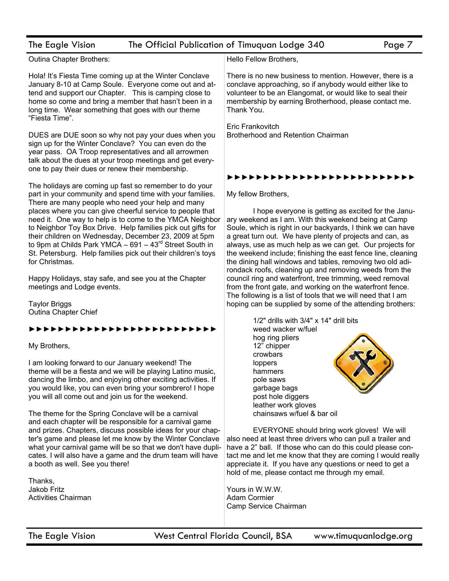| The Eagle Vision                                                                                                                                                                                                                                                                                                                                                                                                                                     | The Official Publication of Timuquan Lodge 340<br>Page 7                                                                                                                                                                                                                                                                                                                                                                        |
|------------------------------------------------------------------------------------------------------------------------------------------------------------------------------------------------------------------------------------------------------------------------------------------------------------------------------------------------------------------------------------------------------------------------------------------------------|---------------------------------------------------------------------------------------------------------------------------------------------------------------------------------------------------------------------------------------------------------------------------------------------------------------------------------------------------------------------------------------------------------------------------------|
| Outina Chapter Brothers:                                                                                                                                                                                                                                                                                                                                                                                                                             | Hello Fellow Brothers,                                                                                                                                                                                                                                                                                                                                                                                                          |
| Hola! It's Fiesta Time coming up at the Winter Conclave<br>January 8-10 at Camp Soule. Everyone come out and at-<br>tend and support our Chapter. This is camping close to<br>home so come and bring a member that hasn't been in a<br>long time. Wear something that goes with our theme<br>"Fiesta Time".                                                                                                                                          | There is no new business to mention. However, there is a<br>conclave approaching, so if anybody would either like to<br>volunteer to be an Elangomat, or would like to seal their<br>membership by earning Brotherhood, please contact me.<br>Thank You.                                                                                                                                                                        |
| DUES are DUE soon so why not pay your dues when you<br>sign up for the Winter Conclave? You can even do the<br>year pass. OA Troop representatives and all arrowmen<br>talk about the dues at your troop meetings and get every-<br>one to pay their dues or renew their membership.                                                                                                                                                                 | Eric Frankovitch<br><b>Brotherhood and Retention Chairman</b>                                                                                                                                                                                                                                                                                                                                                                   |
| The holidays are coming up fast so remember to do your                                                                                                                                                                                                                                                                                                                                                                                               | ,,,,,,,,,,,,,,,                                                                                                                                                                                                                                                                                                                                                                                                                 |
| part in your community and spend time with your families.                                                                                                                                                                                                                                                                                                                                                                                            | My fellow Brothers,                                                                                                                                                                                                                                                                                                                                                                                                             |
| There are many people who need your help and many<br>places where you can give cheerful service to people that<br>need it. One way to help is to come to the YMCA Neighbor<br>to Neighbor Toy Box Drive. Help families pick out gifts for<br>their children on Wednesday, December 23, 2009 at 5pm<br>to 9pm at Childs Park YMCA - $691 - 43^{rd}$ Street South in<br>St. Petersburg. Help families pick out their children's toys<br>for Christmas. | I hope everyone is getting as excited for the Janu-<br>ary weekend as I am. With this weekend being at Camp<br>Soule, which is right in our backyards, I think we can have<br>a great turn out. We have plenty of projects and can, as<br>always, use as much help as we can get. Our projects for<br>the weekend include; finishing the east fence line, cleaning<br>the dining hall windows and tables, removing two old adi- |
| Happy Holidays, stay safe, and see you at the Chapter<br>meetings and Lodge events.                                                                                                                                                                                                                                                                                                                                                                  | rondack roofs, cleaning up and removing weeds from the<br>council ring and waterfront, tree trimming, weed removal<br>from the front gate, and working on the waterfront fence.<br>The following is a list of tools that we will need that I am                                                                                                                                                                                 |
| <b>Taylor Briggs</b><br>Outina Chapter Chief                                                                                                                                                                                                                                                                                                                                                                                                         | hoping can be supplied by some of the attending brothers:                                                                                                                                                                                                                                                                                                                                                                       |
| ,,,,,,,,,,,,                                                                                                                                                                                                                                                                                                                                                                                                                                         | 1/2" drills with 3/4" x 14" drill bits<br>weed wacker w/fuel                                                                                                                                                                                                                                                                                                                                                                    |
| My Brothers,                                                                                                                                                                                                                                                                                                                                                                                                                                         | hog ring pliers<br>12" chipper<br>crowbars                                                                                                                                                                                                                                                                                                                                                                                      |
| I am looking forward to our January weekend! The<br>theme will be a fiesta and we will be playing Latino music,<br>dancing the limbo, and enjoying other exciting activities. If<br>you would like, you can even bring your sombrero! I hope<br>you will all come out and join us for the weekend.                                                                                                                                                   | loppers<br>hammers<br>pole saws<br>garbage bags<br>post hole diggers<br>leather work gloves<br>chainsaws w/fuel & bar oil                                                                                                                                                                                                                                                                                                       |
| The theme for the Spring Conclave will be a carnival<br>and each chapter will be responsible for a carnival game<br>and prizes. Chapters, discuss possible ideas for your chap-<br>ter's game and please let me know by the Winter Conclave<br>what your carnival game will be so that we don't have dupli-<br>cates. I will also have a game and the drum team will have<br>a booth as well. See you there!                                         | EVERYONE should bring work gloves! We will<br>also need at least three drivers who can pull a trailer and<br>have a 2" ball. If those who can do this could please con-<br>tact me and let me know that they are coming I would really<br>appreciate it. If you have any questions or need to get a<br>hold of me, please contact me through my email.                                                                          |
| Thanks,                                                                                                                                                                                                                                                                                                                                                                                                                                              |                                                                                                                                                                                                                                                                                                                                                                                                                                 |
| Jakob Fritz<br><b>Activities Chairman</b>                                                                                                                                                                                                                                                                                                                                                                                                            | Yours in W.W.W.<br>Adam Cormier<br>Camp Service Chairman                                                                                                                                                                                                                                                                                                                                                                        |
|                                                                                                                                                                                                                                                                                                                                                                                                                                                      |                                                                                                                                                                                                                                                                                                                                                                                                                                 |